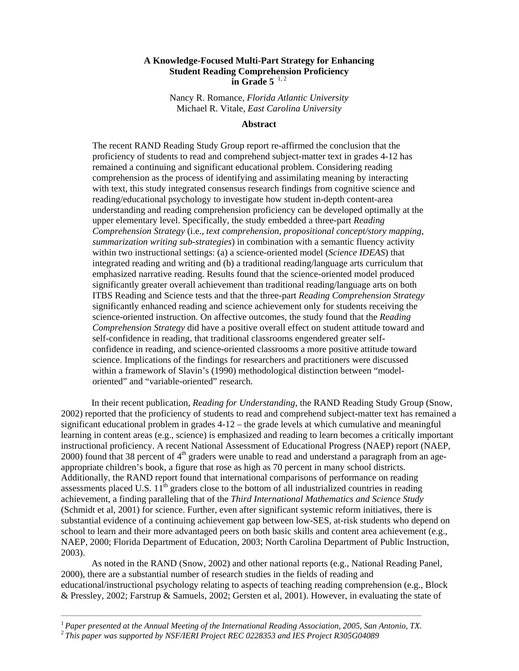# **A Knowledge-Focused Multi-Part Strategy for Enhancing Student Reading Comprehension Proficiency in Grade 5** 1, 2

Nancy R. Romance, *Florida Atlantic University*  Michael R. Vitale, *East Carolina University*

### **Abstract**

The recent RAND Reading Study Group report re-affirmed the conclusion that the proficiency of students to read and comprehend subject-matter text in grades 4-12 has remained a continuing and significant educational problem. Considering reading comprehension as the process of identifying and assimilating meaning by interacting with text, this study integrated consensus research findings from cognitive science and reading/educational psychology to investigate how student in-depth content-area understanding and reading comprehension proficiency can be developed optimally at the upper elementary level. Specifically, the study embedded a three-part *Reading Comprehension Strategy* (i.e., *text comprehension, propositional concept/story mapping, summarization writing sub-strategies*) in combination with a semantic fluency activity within two instructional settings: (a) a science-oriented model (*Science IDEAS*) that integrated reading and writing and (b) a traditional reading/language arts curriculum that emphasized narrative reading. Results found that the science-oriented model produced significantly greater overall achievement than traditional reading/language arts on both ITBS Reading and Science tests and that the three-part *Reading Comprehension Strategy* significantly enhanced reading and science achievement only for students receiving the science-oriented instruction. On affective outcomes, the study found that the *Reading Comprehension Strategy* did have a positive overall effect on student attitude toward and self-confidence in reading, that traditional classrooms engendered greater selfconfidence in reading, and science-oriented classrooms a more positive attitude toward science. Implications of the findings for researchers and practitioners were discussed within a framework of Slavin's (1990) methodological distinction between "modeloriented" and "variable-oriented" research.

 In their recent publication, *Reading for Understanding*, the RAND Reading Study Group (Snow, 2002) reported that the proficiency of students to read and comprehend subject-matter text has remained a significant educational problem in grades 4-12 – the grade levels at which cumulative and meaningful learning in content areas (e.g., science) is emphasized and reading to learn becomes a critically important instructional proficiency. A recent National Assessment of Educational Progress (NAEP) report (NAEP, 2000) found that 38 percent of  $4<sup>th</sup>$  graders were unable to read and understand a paragraph from an ageappropriate children's book, a figure that rose as high as 70 percent in many school districts. Additionally, the RAND report found that international comparisons of performance on reading assessments placed U.S.  $11<sup>th</sup>$  graders close to the bottom of all industrialized countries in reading achievement, a finding paralleling that of the *Third International Mathematics and Science Study*  (Schmidt et al, 2001) for science. Further, even after significant systemic reform initiatives, there is substantial evidence of a continuing achievement gap between low-SES, at-risk students who depend on school to learn and their more advantaged peers on both basic skills and content area achievement (e.g., NAEP, 2000; Florida Department of Education, 2003; North Carolina Department of Public Instruction, 2003).

 As noted in the RAND (Snow, 2002) and other national reports (e.g., National Reading Panel, 2000), there are a substantial number of research studies in the fields of reading and educational/instructional psychology relating to aspects of teaching reading comprehension (e.g., Block & Pressley, 2002; Farstrup & Samuels, 2002; Gersten et al, 2001). However, in evaluating the state of

\_\_\_\_\_\_\_\_\_\_\_\_\_\_\_\_\_\_\_\_\_\_\_\_\_\_\_\_\_\_\_\_\_\_\_\_\_\_\_\_\_\_\_\_\_\_\_\_\_\_\_\_\_\_\_\_\_\_\_\_\_\_\_\_\_\_\_\_\_\_\_\_\_\_\_\_\_\_\_\_\_\_\_\_\_\_\_\_\_\_\_\_\_\_\_\_\_\_\_\_\_\_\_\_\_\_\_\_\_\_\_\_\_\_\_\_\_\_\_\_\_\_\_\_\_\_\_\_\_\_\_

<sup>&</sup>lt;sup>1</sup> Paper presented at the Annual Meeting of the International Reading Association, 2005, San Antonio, TX. <sup>2</sup> This paper was supported by NSF/IERI Project REC 0228353 and IES Project R305G04089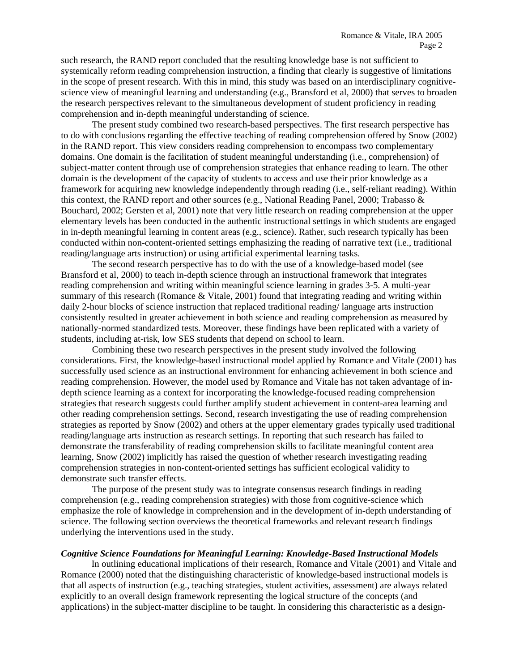such research, the RAND report concluded that the resulting knowledge base is not sufficient to systemically reform reading comprehension instruction, a finding that clearly is suggestive of limitations in the scope of present research. With this in mind, this study was based on an interdisciplinary cognitivescience view of meaningful learning and understanding (e.g., Bransford et al, 2000) that serves to broaden the research perspectives relevant to the simultaneous development of student proficiency in reading comprehension and in-depth meaningful understanding of science.

The present study combined two research-based perspectives. The first research perspective has to do with conclusions regarding the effective teaching of reading comprehension offered by Snow (2002) in the RAND report. This view considers reading comprehension to encompass two complementary domains. One domain is the facilitation of student meaningful understanding (i.e., comprehension) of subject-matter content through use of comprehension strategies that enhance reading to learn. The other domain is the development of the capacity of students to access and use their prior knowledge as a framework for acquiring new knowledge independently through reading (i.e., self-reliant reading). Within this context, the RAND report and other sources (e.g., National Reading Panel, 2000; Trabasso & Bouchard, 2002; Gersten et al, 2001) note that very little research on reading comprehension at the upper elementary levels has been conducted in the authentic instructional settings in which students are engaged in in-depth meaningful learning in content areas (e.g., science). Rather, such research typically has been conducted within non-content-oriented settings emphasizing the reading of narrative text (i.e., traditional reading/language arts instruction) or using artificial experimental learning tasks.

The second research perspective has to do with the use of a knowledge-based model (see Bransford et al, 2000) to teach in-depth science through an instructional framework that integrates reading comprehension and writing within meaningful science learning in grades 3-5. A multi-year summary of this research (Romance & Vitale, 2001) found that integrating reading and writing within daily 2-hour blocks of science instruction that replaced traditional reading/ language arts instruction consistently resulted in greater achievement in both science and reading comprehension as measured by nationally-normed standardized tests. Moreover, these findings have been replicated with a variety of students, including at-risk, low SES students that depend on school to learn.

Combining these two research perspectives in the present study involved the following considerations. First, the knowledge-based instructional model applied by Romance and Vitale (2001) has successfully used science as an instructional environment for enhancing achievement in both science and reading comprehension. However, the model used by Romance and Vitale has not taken advantage of indepth science learning as a context for incorporating the knowledge-focused reading comprehension strategies that research suggests could further amplify student achievement in content-area learning and other reading comprehension settings. Second, research investigating the use of reading comprehension strategies as reported by Snow (2002) and others at the upper elementary grades typically used traditional reading/language arts instruction as research settings. In reporting that such research has failed to demonstrate the transferability of reading comprehension skills to facilitate meaningful content area learning, Snow (2002) implicitly has raised the question of whether research investigating reading comprehension strategies in non-content-oriented settings has sufficient ecological validity to demonstrate such transfer effects.

The purpose of the present study was to integrate consensus research findings in reading comprehension (e.g., reading comprehension strategies) with those from cognitive-science which emphasize the role of knowledge in comprehension and in the development of in-depth understanding of science. The following section overviews the theoretical frameworks and relevant research findings underlying the interventions used in the study.

#### *Cognitive Science Foundations for Meaningful Learning: Knowledge-Based Instructional Models*

In outlining educational implications of their research, Romance and Vitale (2001) and Vitale and Romance (2000) noted that the distinguishing characteristic of knowledge-based instructional models is that all aspects of instruction (e.g., teaching strategies, student activities, assessment) are always related explicitly to an overall design framework representing the logical structure of the concepts (and applications) in the subject-matter discipline to be taught. In considering this characteristic as a design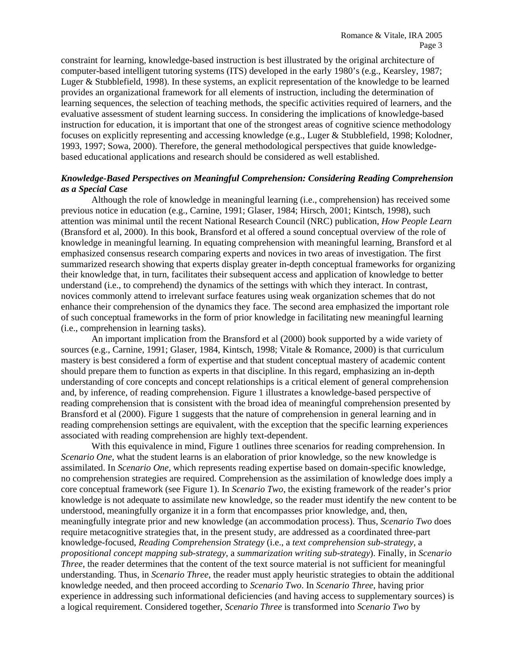constraint for learning, knowledge-based instruction is best illustrated by the original architecture of computer-based intelligent tutoring systems (ITS) developed in the early 1980's (e.g., Kearsley, 1987; Luger & Stubblefield, 1998). In these systems, an explicit representation of the knowledge to be learned provides an organizational framework for all elements of instruction, including the determination of learning sequences, the selection of teaching methods, the specific activities required of learners, and the evaluative assessment of student learning success. In considering the implications of knowledge-based instruction for education, it is important that one of the strongest areas of cognitive science methodology focuses on explicitly representing and accessing knowledge (e.g., Luger & Stubblefield, 1998; Kolodner, 1993, 1997; Sowa, 2000). Therefore, the general methodological perspectives that guide knowledgebased educational applications and research should be considered as well established.

### *Knowledge-Based Perspectives on Meaningful Comprehension: Considering Reading Comprehension as a Special Case*

Although the role of knowledge in meaningful learning (i.e., comprehension) has received some previous notice in education (e.g., Carnine, 1991; Glaser, 1984; Hirsch, 2001; Kintsch, 1998), such attention was minimal until the recent National Research Council (NRC) publication, *How People Learn*  (Bransford et al, 2000). In this book, Bransford et al offered a sound conceptual overview of the role of knowledge in meaningful learning. In equating comprehension with meaningful learning, Bransford et al emphasized consensus research comparing experts and novices in two areas of investigation. The first summarized research showing that experts display greater in-depth conceptual frameworks for organizing their knowledge that, in turn, facilitates their subsequent access and application of knowledge to better understand (i.e., to comprehend) the dynamics of the settings with which they interact. In contrast, novices commonly attend to irrelevant surface features using weak organization schemes that do not enhance their comprehension of the dynamics they face. The second area emphasized the important role of such conceptual frameworks in the form of prior knowledge in facilitating new meaningful learning (i.e., comprehension in learning tasks).

An important implication from the Bransford et al (2000) book supported by a wide variety of sources (e.g., Carnine, 1991; Glaser, 1984, Kintsch, 1998; Vitale & Romance, 2000) is that curriculum mastery is best considered a form of expertise and that student conceptual mastery of academic content should prepare them to function as experts in that discipline. In this regard, emphasizing an in-depth understanding of core concepts and concept relationships is a critical element of general comprehension and, by inference, of reading comprehension. Figure 1 illustrates a knowledge-based perspective of reading comprehension that is consistent with the broad idea of meaningful comprehension presented by Bransford et al (2000). Figure 1 suggests that the nature of comprehension in general learning and in reading comprehension settings are equivalent, with the exception that the specific learning experiences associated with reading comprehension are highly text-dependent.

With this equivalence in mind, Figure 1 outlines three scenarios for reading comprehension. In *Scenario One*, what the student learns is an elaboration of prior knowledge, so the new knowledge is assimilated. In *Scenario One*, which represents reading expertise based on domain-specific knowledge, no comprehension strategies are required. Comprehension as the assimilation of knowledge does imply a core conceptual framework (see Figure 1). In *Scenario Two*, the existing framework of the reader's prior knowledge is not adequate to assimilate new knowledge, so the reader must identify the new content to be understood, meaningfully organize it in a form that encompasses prior knowledge, and, then, meaningfully integrate prior and new knowledge (an accommodation process). Thus, *Scenario Two* does require metacognitive strategies that, in the present study, are addressed as a coordinated three-part knowledge-focused, *Reading Comprehension Strategy* (i.e., a *text comprehension sub-strategy*, a *propositional concept mapping sub-strategy*, a *summarization writing sub-strategy*). Finally, in *Scenario Three*, the reader determines that the content of the text source material is not sufficient for meaningful understanding. Thus, in *Scenario Three*, the reader must apply heuristic strategies to obtain the additional knowledge needed, and then proceed according to *Scenario Two*. In *Scenario Three*, having prior experience in addressing such informational deficiencies (and having access to supplementary sources) is a logical requirement. Considered together, *Scenario Three* is transformed into *Scenario Two* by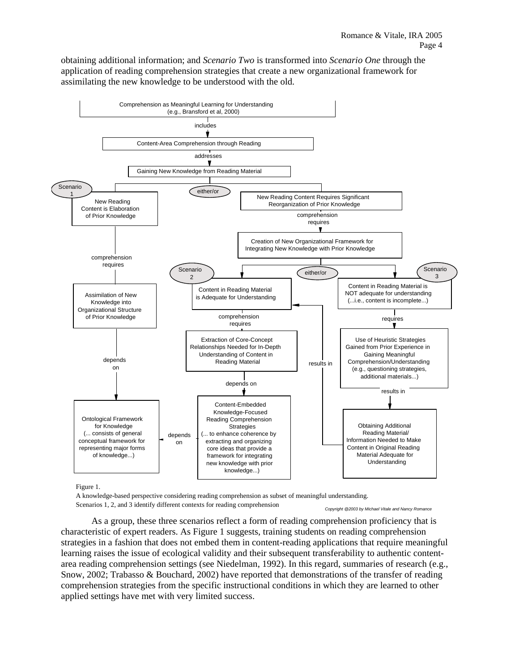obtaining additional information; and *Scenario Two* is transformed into *Scenario One* through the application of reading comprehension strategies that create a new organizational framework for assimilating the new knowledge to be understood with the old.



Figure 1.

A knowledge-based perspective considering reading comprehension as subset of meaningful understanding. Scenarios 1, 2, and 3 identify different contexts for reading comprehension

*Copyright @2003 by Michael Vitale and Nancy Romance*

As a group, these three scenarios reflect a form of reading comprehension proficiency that is characteristic of expert readers. As Figure 1 suggests, training students on reading comprehension strategies in a fashion that does not embed them in content-reading applications that require meaningful learning raises the issue of ecological validity and their subsequent transferability to authentic contentarea reading comprehension settings (see Niedelman, 1992). In this regard, summaries of research (e.g., Snow, 2002; Trabasso & Bouchard, 2002) have reported that demonstrations of the transfer of reading comprehension strategies from the specific instructional conditions in which they are learned to other applied settings have met with very limited success.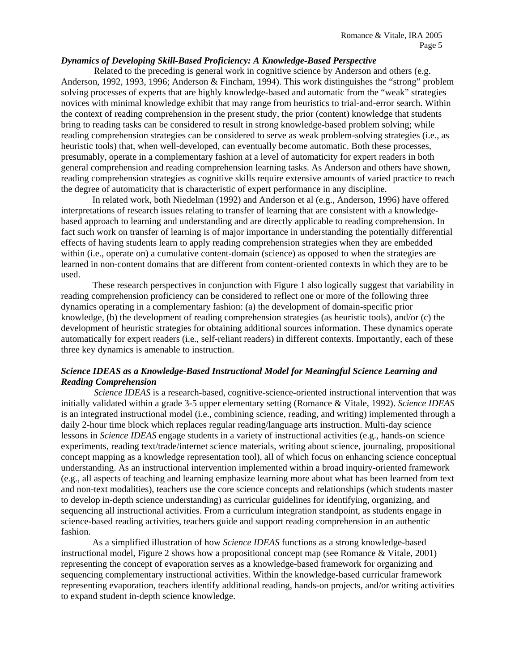### *Dynamics of Developing Skill-Based Proficiency: A Knowledge-Based Perspective*

Related to the preceding is general work in cognitive science by Anderson and others (e.g. Anderson, 1992, 1993, 1996; Anderson & Fincham, 1994). This work distinguishes the "strong" problem solving processes of experts that are highly knowledge-based and automatic from the "weak" strategies novices with minimal knowledge exhibit that may range from heuristics to trial-and-error search. Within the context of reading comprehension in the present study, the prior (content) knowledge that students bring to reading tasks can be considered to result in strong knowledge-based problem solving; while reading comprehension strategies can be considered to serve as weak problem-solving strategies (i.e., as heuristic tools) that, when well-developed, can eventually become automatic. Both these processes, presumably, operate in a complementary fashion at a level of automaticity for expert readers in both general comprehension and reading comprehension learning tasks. As Anderson and others have shown, reading comprehension strategies as cognitive skills require extensive amounts of varied practice to reach the degree of automaticity that is characteristic of expert performance in any discipline.

In related work, both Niedelman (1992) and Anderson et al (e.g., Anderson, 1996) have offered interpretations of research issues relating to transfer of learning that are consistent with a knowledgebased approach to learning and understanding and are directly applicable to reading comprehension. In fact such work on transfer of learning is of major importance in understanding the potentially differential effects of having students learn to apply reading comprehension strategies when they are embedded within (i.e., operate on) a cumulative content-domain (science) as opposed to when the strategies are learned in non-content domains that are different from content-oriented contexts in which they are to be used.

These research perspectives in conjunction with Figure 1 also logically suggest that variability in reading comprehension proficiency can be considered to reflect one or more of the following three dynamics operating in a complementary fashion: (a) the development of domain-specific prior knowledge, (b) the development of reading comprehension strategies (as heuristic tools), and/or (c) the development of heuristic strategies for obtaining additional sources information. These dynamics operate automatically for expert readers (i.e., self-reliant readers) in different contexts. Importantly, each of these three key dynamics is amenable to instruction.

# *Science IDEAS as a Knowledge-Based Instructional Model for Meaningful Science Learning and Reading Comprehension*

*Science IDEAS* is a research-based, cognitive-science-oriented instructional intervention that was initially validated within a grade 3-5 upper elementary setting (Romance & Vitale, 1992). *Science IDEAS* is an integrated instructional model (i.e., combining science, reading, and writing) implemented through a daily 2-hour time block which replaces regular reading/language arts instruction. Multi-day science lessons in *Science IDEAS* engage students in a variety of instructional activities (e.g., hands-on science experiments, reading text/trade/internet science materials, writing about science, journaling, propositional concept mapping as a knowledge representation tool), all of which focus on enhancing science conceptual understanding. As an instructional intervention implemented within a broad inquiry-oriented framework (e.g., all aspects of teaching and learning emphasize learning more about what has been learned from text and non-text modalities), teachers use the core science concepts and relationships (which students master to develop in-depth science understanding) as curricular guidelines for identifying, organizing, and sequencing all instructional activities. From a curriculum integration standpoint, as students engage in science-based reading activities, teachers guide and support reading comprehension in an authentic fashion.

As a simplified illustration of how *Science IDEAS* functions as a strong knowledge-based instructional model, Figure 2 shows how a propositional concept map (see Romance & Vitale, 2001) representing the concept of evaporation serves as a knowledge-based framework for organizing and sequencing complementary instructional activities. Within the knowledge-based curricular framework representing evaporation, teachers identify additional reading, hands-on projects, and/or writing activities to expand student in-depth science knowledge.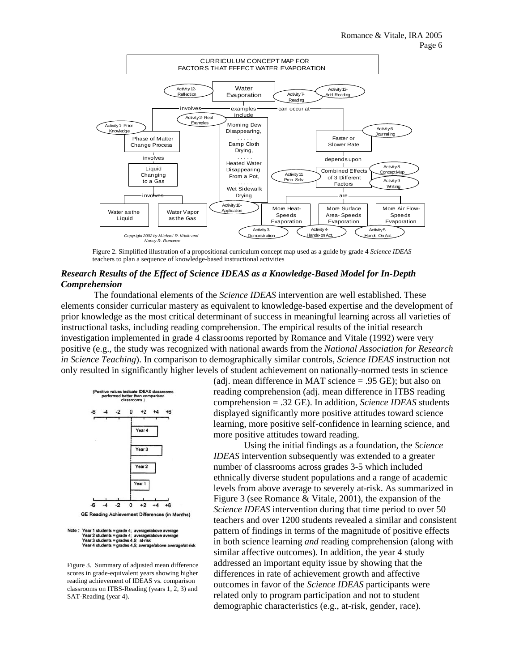

Figure 2. Simplified illustration of a propositional curriculum concept map used as a guide by grade 4 *Science IDEAS* teachers to plan a sequence of knowledge-based instructional activities

# *Research Results of the Effect of Science IDEAS as a Knowledge-Based Model for In-Depth Comprehension*

The foundational elements of the *Science IDEAS* intervention are well established. These elements consider curricular mastery as equivalent to knowledge-based expertise and the development of prior knowledge as the most critical determinant of success in meaningful learning across all varieties of instructional tasks, including reading comprehension. The empirical results of the initial research investigation implemented in grade 4 classrooms reported by Romance and Vitale (1992) were very positive (e.g., the study was recognized with national awards from the *National Association for Research in Science Teaching*). In comparison to demographically similar controls, *Science IDEAS* instruction not only resulted in significantly higher levels of student achievement on nationally-normed tests in science



Year 2 students = grade 4; average/above average<br>Year 3 students = grades 4,5; at-risk ades 4.5: average ane/at-risk

Figure 3. Summary of adjusted mean difference scores in grade-equivalent years showing higher reading achievement of IDEAS vs. comparison classrooms on ITBS-Reading (years 1, 2, 3) and SAT-Reading (year 4).

(adj. mean difference in MAT science = .95 GE); but also on reading comprehension (adj. mean difference in ITBS reading comprehension = .32 GE). In addition, *Science IDEAS* students displayed significantly more positive attitudes toward science learning, more positive self-confidence in learning science, and more positive attitudes toward reading.

 Using the initial findings as a foundation, the *Science IDEAS* intervention subsequently was extended to a greater number of classrooms across grades 3-5 which included ethnically diverse student populations and a range of academic levels from above average to severely at-risk. As summarized in Figure 3 (see Romance & Vitale, 2001), the expansion of the *Science IDEAS* intervention during that time period to over 50 teachers and over 1200 students revealed a similar and consistent pattern of findings in terms of the magnitude of positive effects in both science learning *and* reading comprehension (along with similar affective outcomes). In addition, the year 4 study addressed an important equity issue by showing that the differences in rate of achievement growth and affective outcomes in favor of the *Science IDEAS* participants were related only to program participation and not to student demographic characteristics (e.g., at-risk, gender, race).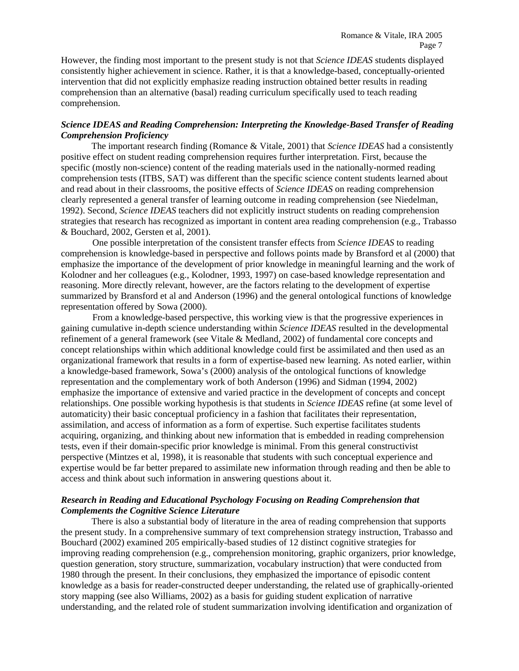However, the finding most important to the present study is not that *Science IDEAS* students displayed consistently higher achievement in science. Rather, it is that a knowledge-based, conceptually-oriented intervention that did not explicitly emphasize reading instruction obtained better results in reading comprehension than an alternative (basal) reading curriculum specifically used to teach reading comprehension.

# *Science IDEAS and Reading Comprehension: Interpreting the Knowledge-Based Transfer of Reading Comprehension Proficiency*

The important research finding (Romance & Vitale, 2001) that *Science IDEAS* had a consistently positive effect on student reading comprehension requires further interpretation. First, because the specific (mostly non-science) content of the reading materials used in the nationally-normed reading comprehension tests (ITBS, SAT) was different than the specific science content students learned about and read about in their classrooms, the positive effects of *Science IDEAS* on reading comprehension clearly represented a general transfer of learning outcome in reading comprehension (see Niedelman, 1992). Second, *Science IDEAS* teachers did not explicitly instruct students on reading comprehension strategies that research has recognized as important in content area reading comprehension (e.g., Trabasso & Bouchard, 2002, Gersten et al, 2001).

One possible interpretation of the consistent transfer effects from *Science IDEAS* to reading comprehension is knowledge-based in perspective and follows points made by Bransford et al (2000) that emphasize the importance of the development of prior knowledge in meaningful learning and the work of Kolodner and her colleagues (e.g., Kolodner, 1993, 1997) on case-based knowledge representation and reasoning. More directly relevant, however, are the factors relating to the development of expertise summarized by Bransford et al and Anderson (1996) and the general ontological functions of knowledge representation offered by Sowa (2000).

From a knowledge-based perspective, this working view is that the progressive experiences in gaining cumulative in-depth science understanding within *Science IDEAS* resulted in the developmental refinement of a general framework (see Vitale & Medland, 2002) of fundamental core concepts and concept relationships within which additional knowledge could first be assimilated and then used as an organizational framework that results in a form of expertise-based new learning. As noted earlier, within a knowledge-based framework, Sowa's (2000) analysis of the ontological functions of knowledge representation and the complementary work of both Anderson (1996) and Sidman (1994, 2002) emphasize the importance of extensive and varied practice in the development of concepts and concept relationships. One possible working hypothesis is that students in *Science IDEAS* refine (at some level of automaticity) their basic conceptual proficiency in a fashion that facilitates their representation, assimilation, and access of information as a form of expertise. Such expertise facilitates students acquiring, organizing, and thinking about new information that is embedded in reading comprehension tests, even if their domain-specific prior knowledge is minimal. From this general constructivist perspective (Mintzes et al, 1998), it is reasonable that students with such conceptual experience and expertise would be far better prepared to assimilate new information through reading and then be able to access and think about such information in answering questions about it.

# *Research in Reading and Educational Psychology Focusing on Reading Comprehension that Complements the Cognitive Science Literature*

There is also a substantial body of literature in the area of reading comprehension that supports the present study. In a comprehensive summary of text comprehension strategy instruction, Trabasso and Bouchard (2002) examined 205 empirically-based studies of 12 distinct cognitive strategies for improving reading comprehension (e.g., comprehension monitoring, graphic organizers, prior knowledge, question generation, story structure, summarization, vocabulary instruction) that were conducted from 1980 through the present. In their conclusions, they emphasized the importance of episodic content knowledge as a basis for reader-constructed deeper understanding, the related use of graphically-oriented story mapping (see also Williams, 2002) as a basis for guiding student explication of narrative understanding, and the related role of student summarization involving identification and organization of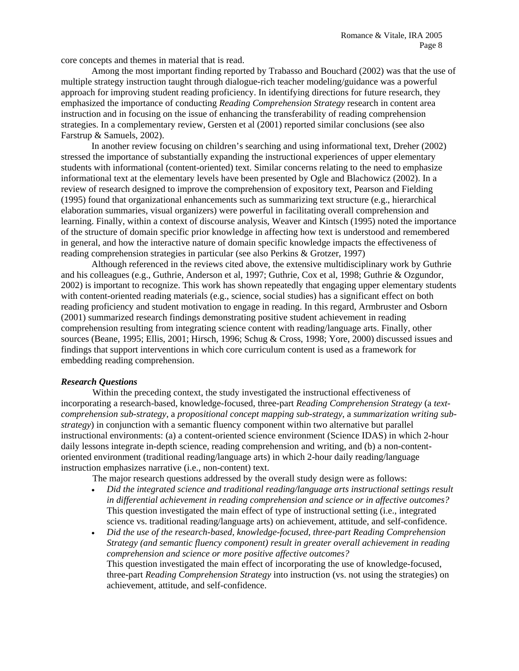core concepts and themes in material that is read.

 Among the most important finding reported by Trabasso and Bouchard (2002) was that the use of multiple strategy instruction taught through dialogue-rich teacher modeling/guidance was a powerful approach for improving student reading proficiency. In identifying directions for future research, they emphasized the importance of conducting *Reading Comprehension Strategy* research in content area instruction and in focusing on the issue of enhancing the transferability of reading comprehension strategies. In a complementary review, Gersten et al (2001) reported similar conclusions (see also Farstrup & Samuels, 2002).

 In another review focusing on children's searching and using informational text, Dreher (2002) stressed the importance of substantially expanding the instructional experiences of upper elementary students with informational (content-oriented) text. Similar concerns relating to the need to emphasize informational text at the elementary levels have been presented by Ogle and Blachowicz (2002). In a review of research designed to improve the comprehension of expository text, Pearson and Fielding (1995) found that organizational enhancements such as summarizing text structure (e.g., hierarchical elaboration summaries, visual organizers) were powerful in facilitating overall comprehension and learning. Finally, within a context of discourse analysis, Weaver and Kintsch (1995) noted the importance of the structure of domain specific prior knowledge in affecting how text is understood and remembered in general, and how the interactive nature of domain specific knowledge impacts the effectiveness of reading comprehension strategies in particular (see also Perkins & Grotzer, 1997)

Although referenced in the reviews cited above, the extensive multidisciplinary work by Guthrie and his colleagues (e.g., Guthrie, Anderson et al, 1997; Guthrie, Cox et al, 1998; Guthrie & Ozgundor, 2002) is important to recognize. This work has shown repeatedly that engaging upper elementary students with content-oriented reading materials (e.g., science, social studies) has a significant effect on both reading proficiency and student motivation to engage in reading. In this regard, Armbruster and Osborn (2001) summarized research findings demonstrating positive student achievement in reading comprehension resulting from integrating science content with reading/language arts. Finally, other sources (Beane, 1995; Ellis, 2001; Hirsch, 1996; Schug & Cross, 1998; Yore, 2000) discussed issues and findings that support interventions in which core curriculum content is used as a framework for embedding reading comprehension.

### *Research Questions*

Within the preceding context, the study investigated the instructional effectiveness of incorporating a research-based, knowledge-focused, three-part *Reading Comprehension Strategy* (a *textcomprehension sub-strategy*, a *propositional concept mapping sub-strategy*, a *summarization writing substrategy*) in conjunction with a semantic fluency component within two alternative but parallel instructional environments: (a) a content-oriented science environment (Science IDAS) in which 2-hour daily lessons integrate in-depth science, reading comprehension and writing, and (b) a non-contentoriented environment (traditional reading/language arts) in which 2-hour daily reading/language instruction emphasizes narrative (i.e., non-content) text.

The major research questions addressed by the overall study design were as follows:

- *Did the integrated science and traditional reading/language arts instructional settings result in differential achievement in reading comprehension and science or in affective outcomes?* This question investigated the main effect of type of instructional setting (i.e., integrated science vs. traditional reading/language arts) on achievement, attitude, and self-confidence.
- *Did the use of the research-based, knowledge-focused, three-part Reading Comprehension Strategy (and semantic fluency component) result in greater overall achievement in reading comprehension and science or more positive affective outcomes?*  This question investigated the main effect of incorporating the use of knowledge-focused, three-part *Reading Comprehension Strategy* into instruction (vs. not using the strategies) on achievement, attitude, and self-confidence.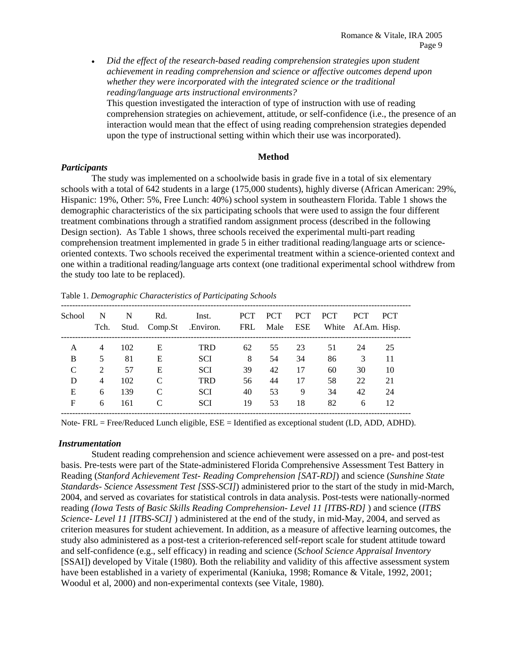• *Did the effect of the research-based reading comprehension strategies upon student achievement in reading comprehension and science or affective outcomes depend upon whether they were incorporated with the integrated science or the traditional reading/language arts instructional environments?* 

This question investigated the interaction of type of instruction with use of reading comprehension strategies on achievement, attitude, or self-confidence (i.e., the presence of an interaction would mean that the effect of using reading comprehension strategies depended upon the type of instructional setting within which their use was incorporated).

### **Method**

### *Participants*

The study was implemented on a schoolwide basis in grade five in a total of six elementary schools with a total of 642 students in a large (175,000 students), highly diverse (African American: 29%, Hispanic: 19%, Other: 5%, Free Lunch: 40%) school system in southeastern Florida. Table 1 shows the demographic characteristics of the six participating schools that were used to assign the four different treatment combinations through a stratified random assignment process (described in the following Design section). As Table 1 shows, three schools received the experimental multi-part reading comprehension treatment implemented in grade 5 in either traditional reading/language arts or scienceoriented contexts. Two schools received the experimental treatment within a science-oriented context and one within a traditional reading/language arts context (one traditional experimental school withdrew from the study too late to be replaced).

| School | N<br>Tch.      | N<br>Stud. | Rd.<br>CompSt | Inst.<br>.Environ. | <b>PCT</b><br>FRL | <b>PCT</b><br>Male | <b>PCT</b><br>ESE | <b>PCT</b> | <b>PCT</b><br>White Af.Am. Hisp. | <b>PCT</b> |
|--------|----------------|------------|---------------|--------------------|-------------------|--------------------|-------------------|------------|----------------------------------|------------|
| A      | 4              | 102        | Е             | <b>TRD</b>         | 62                | 55                 | 23                | 51         | 24                               | 25         |
| B      | 5              | 81         | Е             | <b>SCI</b>         | 8                 | 54                 | 34                | 86         | 3                                | 11         |
| C      | $\mathfrak{D}$ | 57         | Е             | <b>SCI</b>         | 39                | 42                 | 17                | 60         | 30                               | 10         |
| D      | 4              | 102        | C             | <b>TRD</b>         | 56                | 44                 | 17                | 58         | 22                               | 21         |
| E      | 6              | 139        | C             | <b>SCI</b>         | 40                | 53                 | 9                 | 34         | 42                               | 24         |
| F      | 6              | 161        |               | <b>SCI</b>         | 19                | 53                 | 18                | 82         | 6                                | 12         |

Table 1. *Demographic Characteristics of Participating Schools* 

Note- FRL = Free/Reduced Lunch eligible, ESE = Identified as exceptional student (LD, ADD, ADHD).

### *Instrumentation*

Student reading comprehension and science achievement were assessed on a pre- and post-test basis. Pre-tests were part of the State-administered Florida Comprehensive Assessment Test Battery in Reading (*Stanford Achievement Test- Reading Comprehension [SAT-RD]*) and science (*Sunshine State Standards- Science Assessment Test [SSS-SCI]*) administered prior to the start of the study in mid-March, 2004, and served as covariates for statistical controls in data analysis. Post-tests were nationally-normed reading *(Iowa Tests of Basic Skills Reading Comprehension- Level 11 [ITBS-RD]* ) and science (*ITBS Science- Level 11 [ITBS-SCI]* ) administered at the end of the study, in mid-May, 2004, and served as criterion measures for student achievement. In addition, as a measure of affective learning outcomes, the study also administered as a post-test a criterion-referenced self-report scale for student attitude toward and self-confidence (e.g., self efficacy) in reading and science (*School Science Appraisal Inventory*  [SSAI]) developed by Vitale (1980). Both the reliability and validity of this affective assessment system have been established in a variety of experimental (Kaniuka, 1998; Romance & Vitale, 1992, 2001; Woodul et al, 2000) and non-experimental contexts (see Vitale, 1980).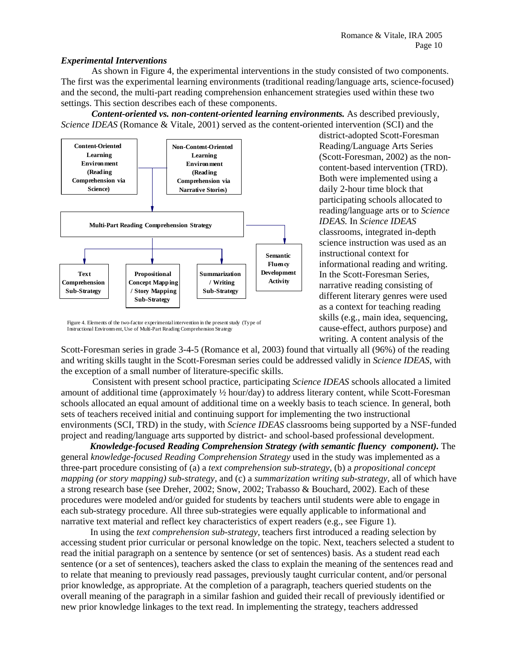### *Experimental Interventions*

As shown in Figure 4, the experimental interventions in the study consisted of two components. The first was the experimental learning environments (traditional reading/language arts, science-focused) and the second, the multi-part reading comprehension enhancement strategies used within these two settings. This section describes each of these components.

*Content-oriented vs. non-content-oriented learning environments.* **As described previously,** *Science IDEAS* (Romance & Vitale, 2001) served as the content-oriented intervention (SCI) and the



Figure 4. Elements of the two-factor experimental intervention in the present study (Type of Instructional Environment, Use of Multi-Part Reading Comprehension Strategy

district-adopted Scott-Foresman Reading/Language Arts Series (Scott-Foresman, 2002) as the noncontent-based intervention (TRD). Both were implemented using a daily 2-hour time block that participating schools allocated to reading/language arts or to *Science IDEAS.* In *Science IDEAS* classrooms, integrated in-depth science instruction was used as an instructional context for informational reading and writing. In the Scott-Foresman Series, narrative reading consisting of different literary genres were used as a context for teaching reading skills (e.g., main idea, sequencing, cause-effect, authors purpose) and writing. A content analysis of the

Scott-Foresman series in grade 3-4-5 (Romance et al, 2003) found that virtually all (96%) of the reading and writing skills taught in the Scott-Foresman series could be addressed validly in *Science IDEAS*, with the exception of a small number of literature-specific skills.

Consistent with present school practice, participating *Science IDEAS* schools allocated a limited amount of additional time (approximately ½ hour/day) to address literary content, while Scott-Foresman schools allocated an equal amount of additional time on a weekly basis to teach science. In general, both sets of teachers received initial and continuing support for implementing the two instructional environments (SCI, TRD) in the study, with *Science IDEAS* classrooms being supported by a NSF-funded project and reading/language arts supported by district- and school-based professional development.

*Knowledge-focused Reading Comprehension Strategy (with semantic fluency component).* The general *knowledge-focused Reading Comprehension Strategy* used in the study was implemented as a three-part procedure consisting of (a) a *text comprehension sub-strategy*, (b) a *propositional concept mapping (or story mapping) sub-strategy*, and (c) a *summarization writing sub-strategy,* all of which have a strong research base (see Dreher, 2002; Snow, 2002; Trabasso & Bouchard, 2002). Each of these procedures were modeled and/or guided for students by teachers until students were able to engage in each sub-strategy procedure. All three sub-strategies were equally applicable to informational and narrative text material and reflect key characteristics of expert readers (e.g., see Figure 1).

In using the *text comprehension sub-strategy,* teachers first introduced a reading selection by accessing student prior curricular or personal knowledge on the topic. Next, teachers selected a student to read the initial paragraph on a sentence by sentence (or set of sentences) basis. As a student read each sentence (or a set of sentences), teachers asked the class to explain the meaning of the sentences read and to relate that meaning to previously read passages, previously taught curricular content, and/or personal prior knowledge, as appropriate. At the completion of a paragraph, teachers queried students on the overall meaning of the paragraph in a similar fashion and guided their recall of previously identified or new prior knowledge linkages to the text read. In implementing the strategy, teachers addressed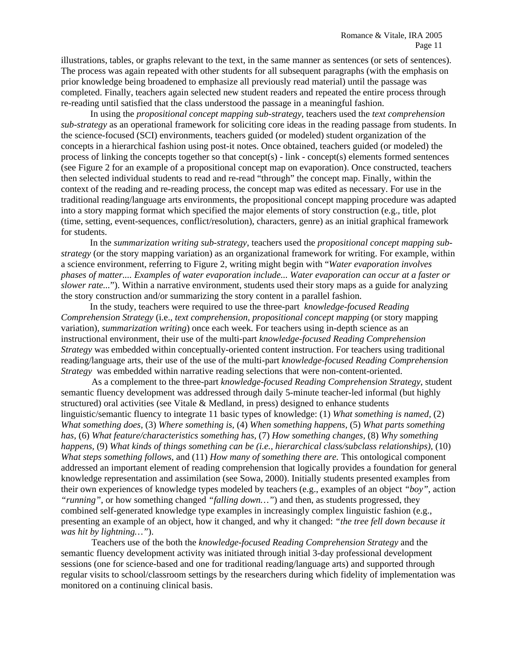illustrations, tables, or graphs relevant to the text, in the same manner as sentences (or sets of sentences). The process was again repeated with other students for all subsequent paragraphs (with the emphasis on prior knowledge being broadened to emphasize all previously read material) until the passage was completed. Finally, teachers again selected new student readers and repeated the entire process through re-reading until satisfied that the class understood the passage in a meaningful fashion.

In using the *propositional concept mapping sub-strategy*, teachers used the *text comprehension sub-strategy* as an operational framework for soliciting core ideas in the reading passage from students. In the science-focused (SCI) environments, teachers guided (or modeled) student organization of the concepts in a hierarchical fashion using post-it notes. Once obtained, teachers guided (or modeled) the process of linking the concepts together so that concept(s) - link - concept(s) elements formed sentences (see Figure 2 for an example of a propositional concept map on evaporation). Once constructed, teachers then selected individual students to read and re-read "through" the concept map. Finally, within the context of the reading and re-reading process, the concept map was edited as necessary. For use in the traditional reading/language arts environments, the propositional concept mapping procedure was adapted into a story mapping format which specified the major elements of story construction (e.g., title, plot (time, setting, event-sequences, conflict/resolution), characters, genre) as an initial graphical framework for students.

In the *summarization writing sub-strategy,* teachers used the *propositional concept mapping substrategy* (or the story mapping variation) as an organizational framework for writing. For example, within a science environment, referring to Figure 2, writing might begin with "*Water evaporation involves phases of matter.... Examples of water evaporation include... Water evaporation can occur at a faster or slower rate...*"). Within a narrative environment, students used their story maps as a guide for analyzing the story construction and/or summarizing the story content in a parallel fashion.

In the study, teachers were required to use the three-part *knowledge-focused Reading Comprehension Strategy* (i.e., *text comprehension, propositional concept mapping* (or story mapping variation), *summarization writing*) once each week*.* For teachers using in-depth science as an instructional environment, their use of the multi-part *knowledge-focused Reading Comprehension Strategy* was embedded within conceptually-oriented content instruction. For teachers using traditional reading/language arts, their use of the use of the multi-part *knowledge-focused Reading Comprehension Strategy* was embedded within narrative reading selections that were non-content-oriented.

 As a complement to the three-part *knowledge-focused Reading Comprehension Strategy*, student semantic fluency development was addressed through daily 5-minute teacher-led informal (but highly structured) oral activities (see Vitale & Medland, in press) designed to enhance students linguistic/semantic fluency to integrate 11 basic types of knowledge: (1) *What something is named,* (2) *What something does*, (3) *Where something is,* (4) *When something happens,* (5) *What parts something has,* (6) *What feature/characteristics something has,* (7) *How something changes,* (8) *Why something happens,* (9) *What kinds of things something can be (i.e., hierarchical class/subclass relationships),* (10) *What steps something follows,* and (11) *How many of something there are.* This ontological component addressed an important element of reading comprehension that logically provides a foundation for general knowledge representation and assimilation (see Sowa, 2000). Initially students presented examples from their own experiences of knowledge types modeled by teachers (e.g., examples of an object *"boy"*, action *"running"*, or how something changed *"falling down…"*) and then, as students progressed, they combined self-generated knowledge type examples in increasingly complex linguistic fashion (e.g., presenting an example of an object, how it changed, and why it changed: *"the tree fell down because it was hit by lightning…"*).

 Teachers use of the both the *knowledge-focused Reading Comprehension Strategy* and the semantic fluency development activity was initiated through initial 3-day professional development sessions (one for science-based and one for traditional reading/language arts) and supported through regular visits to school/classroom settings by the researchers during which fidelity of implementation was monitored on a continuing clinical basis.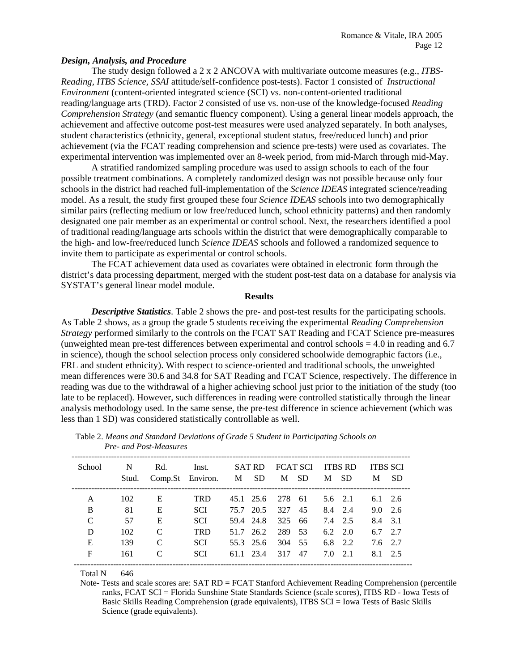### *Design, Analysis, and Procedure*

The study design followed a 2 x 2 ANCOVA with multivariate outcome measures (e.g., *ITBS-Reading, ITBS Science, SSAI* attitude/self-confidence post-tests). Factor 1 consisted of *Instructional Environment* (content-oriented integrated science (SCI) vs. non-content-oriented traditional reading/language arts (TRD). Factor 2 consisted of use vs. non-use of the knowledge-focused *Reading Comprehension Strategy* (and semantic fluency component). Using a general linear models approach, the achievement and affective outcome post-test measures were used analyzed separately. In both analyses, student characteristics (ethnicity, general, exceptional student status, free/reduced lunch) and prior achievement (via the FCAT reading comprehension and science pre-tests) were used as covariates. The experimental intervention was implemented over an 8-week period, from mid-March through mid-May.

 A stratified randomized sampling procedure was used to assign schools to each of the four possible treatment combinations. A completely randomized design was not possible because only four schools in the district had reached full-implementation of the *Science IDEAS* integrated science/reading model. As a result, the study first grouped these four *Science IDEAS* schools into two demographically similar pairs (reflecting medium or low free/reduced lunch, school ethnicity patterns) and then randomly designated one pair member as an experimental or control school. Next, the researchers identified a pool of traditional reading/language arts schools within the district that were demographically comparable to the high- and low-free/reduced lunch *Science IDEAS* schools and followed a randomized sequence to invite them to participate as experimental or control schools.

 The FCAT achievement data used as covariates were obtained in electronic form through the district's data processing department, merged with the student post-test data on a database for analysis via SYSTAT's general linear model module.

#### **Results**

*Descriptive Statistics*. Table 2 shows the pre- and post-test results for the participating schools. As Table 2 shows, as a group the grade 5 students receiving the experimental *Reading Comprehension Strategy* performed similarly to the controls on the FCAT SAT Reading and FCAT Science pre-measures (unweighted mean pre-test differences between experimental and control schools = 4.0 in reading and 6.7 in science), though the school selection process only considered schoolwide demographic factors (i.e., FRL and student ethnicity). With respect to science-oriented and traditional schools, the unweighted mean differences were 30.6 and 34.8 for SAT Reading and FCAT Science, respectively. The difference in reading was due to the withdrawal of a higher achieving school just prior to the initiation of the study (too late to be replaced). However, such differences in reading were controlled statistically through the linear analysis methodology used. In the same sense, the pre-test difference in science achievement (which was less than 1 SD) was considered statistically controllable as well.

| School | N     | Rd.              | Inst.      | SAT RD    |        | FCAT SCI ITBS RD |     |                 | <b>ITBS SCI</b> |           |
|--------|-------|------------------|------------|-----------|--------|------------------|-----|-----------------|-----------------|-----------|
|        | Stud. | Comp.St Environ. |            | M SD      |        | M SD             |     | M SD            | M               | <b>SD</b> |
| A      | 102   | E                | <b>TRD</b> | 45.1 25.6 | 278 61 |                  |     | $5.6 \quad 2.1$ | $6.1\quad 2.6$  |           |
| B      | 81    | E                | <b>SCI</b> | 75.7 20.5 | 327    | 45               |     | 8.4 2.4         | $9.0\quad 2.6$  |           |
| C      | 57    | E                | <b>SCI</b> | 59.4 24.8 | 325    | 66               |     | 7.4 2.5         | 8.4 3.1         |           |
| D      | 102   | $\mathcal{C}$    | <b>TRD</b> | 51.7 26.2 | 289    | 53               |     | $6.2\quad 2.0$  | $6.7\quad 2.7$  |           |
| E      | 139   | $\mathcal{C}$    | <b>SCI</b> | 55.3 25.6 | 304    | 55               |     | 6.8 $2.2$       | 7.6 2.7         |           |
| F      | 161   | C                | <b>SCI</b> | 61.1 23.4 | 317    | 47               | 7.0 | 2.1             | 8.1 2.5         |           |

Table 2. *Means and Standard Deviations of Grade 5 Student in Participating Schools on Pre- and Post-Measures* 

Total N 646

Note- Tests and scale scores are: SAT RD = FCAT Stanford Achievement Reading Comprehension (percentile ranks, FCAT SCI = Florida Sunshine State Standards Science (scale scores), ITBS RD - Iowa Tests of Basic Skills Reading Comprehension (grade equivalents), ITBS SCI = Iowa Tests of Basic Skills Science (grade equivalents).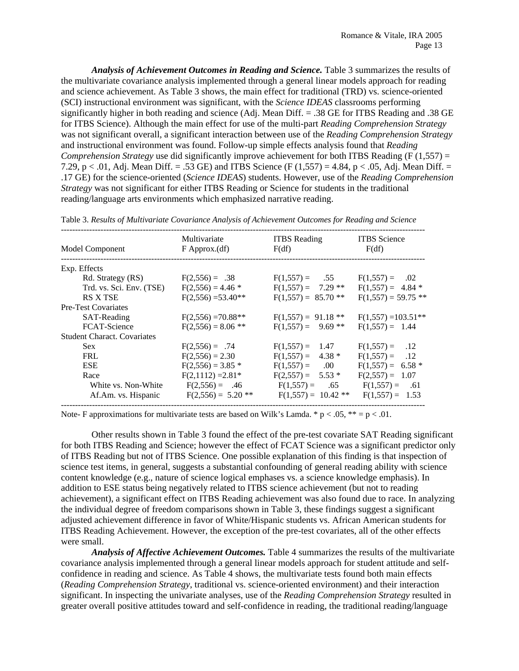*Analysis of Achievement Outcomes in Reading and Science.* Table 3 summarizes the results of the multivariate covariance analysis implemented through a general linear models approach for reading and science achievement. As Table 3 shows, the main effect for traditional (TRD) vs. science-oriented (SCI) instructional environment was significant, with the *Science IDEAS* classrooms performing significantly higher in both reading and science (Adj. Mean Diff. = .38 GE for ITBS Reading and .38 GE for ITBS Science). Although the main effect for use of the multi-part *Reading Comprehension Strategy* was not significant overall, a significant interaction between use of the *Reading Comprehension Strategy* and instructional environment was found. Follow-up simple effects analysis found that *Reading Comprehension Strategy* use did significantly improve achievement for both ITBS Reading (F (1,557) = 7.29, p < .01, Adj. Mean Diff. = .53 GE) and ITBS Science (F  $(1,557) = 4.84$ , p < .05, Adj. Mean Diff. = .17 GE) for the science-oriented (*Science IDEAS*) students. However, use of the *Reading Comprehension Strategy* was not significant for either ITBS Reading or Science for students in the traditional reading/language arts environments which emphasized narrative reading.

| Model Component                    | Multivariate<br>$F$ Approx. $(df)$ | <b>ITBS</b> Reading<br>F(df) | <b>ITBS</b> Science<br>F(df) |  |  |
|------------------------------------|------------------------------------|------------------------------|------------------------------|--|--|
| Exp. Effects                       |                                    |                              |                              |  |  |
| Rd. Strategy (RS)                  | $F(2,556) = .38$                   | $F(1,557) = .55$             | $F(1,557) =$<br>.02          |  |  |
| Trd. vs. Sci. Env. (TSE)           | $F(2,556) = 4.46$ *                | $F(1,557) = 7.29$ **         | $F(1,557) = 4.84$ *          |  |  |
| <b>RS X TSE</b>                    | $F(2,556) = 53.40**$               | $F(1,557) = 85.70$ **        | $F(1,557) = 59.75$ **        |  |  |
| <b>Pre-Test Covariates</b>         |                                    |                              |                              |  |  |
| SAT-Reading                        | $F(2,556) = 70.88**$               | $F(1,557) = 91.18$ **        | $F(1,557) = 103.51**$        |  |  |
| FCAT-Science                       | $F(2,556) = 8.06$ **               | $F(1,557) = 9.69$ **         | $F(1,557) = 1.44$            |  |  |
| <b>Student Charact. Covariates</b> |                                    |                              |                              |  |  |
| <b>Sex</b>                         | $F(2,556) = .74$                   | $F(1,557) = 1.47$            | $F(1,557) = .12$             |  |  |
| <b>FRL</b>                         | $F(2,556) = 2.30$                  | $F(1,557) = 4.38*$           | $F(1,557) = .12$             |  |  |
| <b>ESE</b>                         | $F(2,556) = 3.85$ *                | $F(1,557) = 0.00$            | $F(1,557) = 6.58$ *          |  |  |
| Race                               | $F(2,1112) = 2.81*$                | $F(2,557) = 5.53$ *          | $F(2,557) = 1.07$            |  |  |
| White vs. Non-White                | $F(2,556) = .46$                   | $F(1,557) = .65$             | $F(1,557) = .61$             |  |  |
| Af.Am. vs. Hispanic                | $F(2,556) = 5.20$ **               | $F(1,557) = 10.42$ **        | $F(1,557) = 1.53$            |  |  |

Table 3. *Results of Multivariate Covariance Analysis of Achievement Outcomes for Reading and Science* 

Note- F approximations for multivariate tests are based on Wilk's Lamda. \*  $p < .05$ , \*\* =  $p < .01$ .

Other results shown in Table 3 found the effect of the pre-test covariate SAT Reading significant for both ITBS Reading and Science; however the effect of FCAT Science was a significant predictor only of ITBS Reading but not of ITBS Science. One possible explanation of this finding is that inspection of science test items, in general, suggests a substantial confounding of general reading ability with science content knowledge (e.g., nature of science logical emphases vs. a science knowledge emphasis). In addition to ESE status being negatively related to ITBS science achievement (but not to reading achievement), a significant effect on ITBS Reading achievement was also found due to race. In analyzing the individual degree of freedom comparisons shown in Table 3, these findings suggest a significant adjusted achievement difference in favor of White/Hispanic students vs. African American students for ITBS Reading Achievement. However, the exception of the pre-test covariates, all of the other effects were small.

 *Analysis of Affective Achievement Outcomes.* Table 4 summarizes the results of the multivariate covariance analysis implemented through a general linear models approach for student attitude and selfconfidence in reading and science. As Table 4 shows, the multivariate tests found both main effects (*Reading Comprehension Strategy*, traditional vs. science-oriented environment) and their interaction significant. In inspecting the univariate analyses, use of the *Reading Comprehension Strategy* resulted in greater overall positive attitudes toward and self-confidence in reading, the traditional reading/language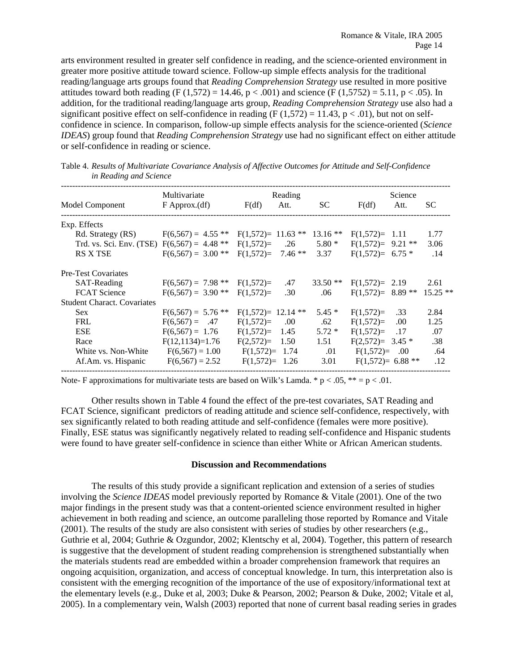arts environment resulted in greater self confidence in reading, and the science-oriented environment in greater more positive attitude toward science. Follow-up simple effects analysis for the traditional reading/language arts groups found that *Reading Comprehension Strategy* use resulted in more positive attitudes toward both reading (F  $(1,572) = 14.46$ , p < .001) and science (F  $(1,5752) = 5.11$ , p < .05). In addition, for the traditional reading/language arts group, *Reading Comprehension Strategy* use also had a significant positive effect on self-confidence in reading (F  $(1,572) = 11.43$ , p < .01), but not on selfconfidence in science. In comparison, follow-up simple effects analysis for the science-oriented (*Science IDEAS*) group found that *Reading Comprehension Strategy* use had no significant effect on either attitude or self-confidence in reading or science.

|                                               | Multivariate         | Reading               |          |           | Science             |          |            |
|-----------------------------------------------|----------------------|-----------------------|----------|-----------|---------------------|----------|------------|
| Model Component                               | $F$ Approx. $(df)$   | F(df)                 | Att.     | <b>SC</b> | F(df)               | Att.     | <b>SC</b>  |
| Exp. Effects                                  |                      |                       |          |           |                     |          |            |
| Rd. Strategy (RS)                             | $F(6,567) = 4.55$ ** | $F(1,572) = 11.63$ ** |          | $13.16**$ | $F(1,572) = 1.11$   |          | 1.77       |
| Trd. vs. Sci. Env. (TSE) $F(6,567) = 4.48$ ** |                      | $F(1,572)=$           | .26      | $5.80*$   | $F(1,572)=$ 9.21 ** |          | 3.06       |
| <b>RS X TSE</b>                               | $F(6,567) = 3.00$ ** | $F(1,572)=$           | $7.46**$ | 3.37      | $F(1,572)= 6.75*$   |          | .14        |
| <b>Pre-Test Covariates</b>                    |                      |                       |          |           |                     |          |            |
| SAT-Reading                                   | $F(6,567) = 7.98$ ** | $F(1,572)=$           | .47      | $33.50**$ | $F(1,572) = 2.19$   |          | 2.61       |
| <b>FCAT</b> Science                           | $F(6,567) = 3.90$ ** | $F(1,572)=$           | .30      | .06       | $F(1,572)=$         | $8.89**$ | $15.25$ ** |
| <b>Student Charact. Covariates</b>            |                      |                       |          |           |                     |          |            |
| <b>Sex</b>                                    | $F(6,567) = 5.76$ ** | $F(1,572)= 12.14$ **  |          | $5.45*$   | $F(1,572)=$         | .33      | 2.84       |
| <b>FRL</b>                                    | $F(6,567) = .47$     | $F(1,572)=$           | .00.     | .62       | $F(1,572)=$         | .00.     | 1.25       |
| <b>ESE</b>                                    | $F(6, 567) = 1.76$   | $F(1,572)=$           | 1.45     | $5.72*$   | $F(1,572)=$         | .17      | .07        |
| Race                                          | $F(12,1134)=1.76$    | $F(2,572)=$           | 1.50     | 1.51      | $F(2,572)=$         | $3.45*$  | .38        |
| White vs. Non-White                           | $F(6,567) = 1.00$    | $F(1,572)=$           | 1.74     | .01       | $F(1,572)=$         | .00.     | .64        |
| Af.Am. vs. Hispanic                           | $F(6, 567) = 2.52$   | $F(1,572) = 1.26$     |          | 3.01      | $F(1,572)= 6.88$ ** |          | .12        |

Table 4. *Results of Multivariate Covariance Analysis of Affective Outcomes for Attitude and Self-Confidence in Reading and Science* 

Note- F approximations for multivariate tests are based on Wilk's Lamda. \*  $p < .05$ , \*\* =  $p < .01$ .

Other results shown in Table 4 found the effect of the pre-test covariates, SAT Reading and FCAT Science, significant predictors of reading attitude and science self-confidence, respectively, with sex significantly related to both reading attitude and self-confidence (females were more positive). Finally, ESE status was significantly negatively related to reading self-confidence and Hispanic students were found to have greater self-confidence in science than either White or African American students.

#### **Discussion and Recommendations**

 The results of this study provide a significant replication and extension of a series of studies involving the *Science IDEAS* model previously reported by Romance & Vitale (2001). One of the two major findings in the present study was that a content-oriented science environment resulted in higher achievement in both reading and science, an outcome paralleling those reported by Romance and Vitale (2001). The results of the study are also consistent with series of studies by other researchers (e.g., Guthrie et al, 2004; Guthrie & Ozgundor, 2002; Klentschy et al, 2004). Together, this pattern of research is suggestive that the development of student reading comprehension is strengthened substantially when the materials students read are embedded within a broader comprehension framework that requires an ongoing acquisition, organization, and access of conceptual knowledge. In turn, this interpretation also is consistent with the emerging recognition of the importance of the use of expository/informational text at the elementary levels (e.g., Duke et al, 2003; Duke & Pearson, 2002; Pearson & Duke, 2002; Vitale et al, 2005). In a complementary vein, Walsh (2003) reported that none of current basal reading series in grades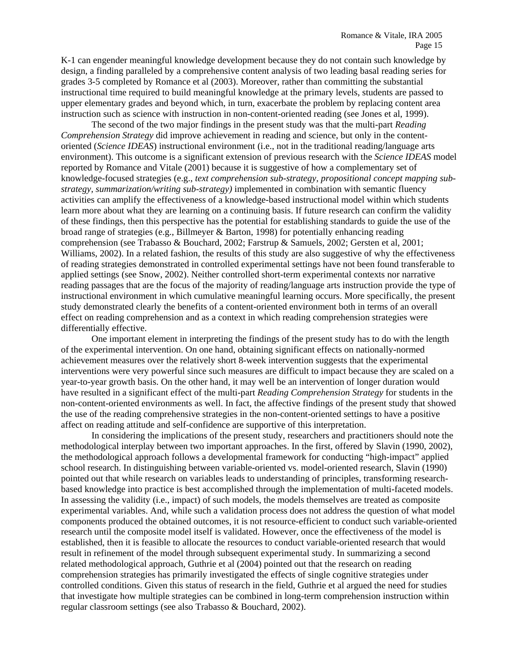K-1 can engender meaningful knowledge development because they do not contain such knowledge by design, a finding paralleled by a comprehensive content analysis of two leading basal reading series for grades 3-5 completed by Romance et al (2003). Moreover, rather than committing the substantial instructional time required to build meaningful knowledge at the primary levels, students are passed to upper elementary grades and beyond which, in turn, exacerbate the problem by replacing content area instruction such as science with instruction in non-content-oriented reading (see Jones et al, 1999).

 The second of the two major findings in the present study was that the multi-part *Reading Comprehension Strategy* did improve achievement in reading and science, but only in the contentoriented (*Science IDEAS*) instructional environment (i.e., not in the traditional reading/language arts environment). This outcome is a significant extension of previous research with the *Science IDEAS* model reported by Romance and Vitale (2001) because it is suggestive of how a complementary set of knowledge-focused strategies (e.g., *text comprehension sub-strategy, propositional concept mapping substrategy, summarization/writing sub-strategy)* implemented in combination with semantic fluency activities can amplify the effectiveness of a knowledge-based instructional model within which students learn more about what they are learning on a continuing basis. If future research can confirm the validity of these findings, then this perspective has the potential for establishing standards to guide the use of the broad range of strategies (e.g., Billmeyer & Barton, 1998) for potentially enhancing reading comprehension (see Trabasso & Bouchard, 2002; Farstrup & Samuels, 2002; Gersten et al, 2001; Williams, 2002). In a related fashion, the results of this study are also suggestive of why the effectiveness of reading strategies demonstrated in controlled experimental settings have not been found transferable to applied settings (see Snow, 2002). Neither controlled short-term experimental contexts nor narrative reading passages that are the focus of the majority of reading/language arts instruction provide the type of instructional environment in which cumulative meaningful learning occurs. More specifically, the present study demonstrated clearly the benefits of a content-oriented environment both in terms of an overall effect on reading comprehension and as a context in which reading comprehension strategies were differentially effective.

One important element in interpreting the findings of the present study has to do with the length of the experimental intervention. On one hand, obtaining significant effects on nationally-normed achievement measures over the relatively short 8-week intervention suggests that the experimental interventions were very powerful since such measures are difficult to impact because they are scaled on a year-to-year growth basis. On the other hand, it may well be an intervention of longer duration would have resulted in a significant effect of the multi-part *Reading Comprehension Strategy* for students in the non-content-oriented environments as well. In fact, the affective findings of the present study that showed the use of the reading comprehensive strategies in the non-content-oriented settings to have a positive affect on reading attitude and self-confidence are supportive of this interpretation.

In considering the implications of the present study, researchers and practitioners should note the methodological interplay between two important approaches. In the first, offered by Slavin (1990, 2002), the methodological approach follows a developmental framework for conducting "high-impact" applied school research. In distinguishing between variable-oriented vs. model-oriented research, Slavin (1990) pointed out that while research on variables leads to understanding of principles, transforming researchbased knowledge into practice is best accomplished through the implementation of multi-faceted models. In assessing the validity (i.e., impact) of such models, the models themselves are treated as composite experimental variables. And, while such a validation process does not address the question of what model components produced the obtained outcomes, it is not resource-efficient to conduct such variable-oriented research until the composite model itself is validated. However, once the effectiveness of the model is established, then it is feasible to allocate the resources to conduct variable-oriented research that would result in refinement of the model through subsequent experimental study. In summarizing a second related methodological approach, Guthrie et al (2004) pointed out that the research on reading comprehension strategies has primarily investigated the effects of single cognitive strategies under controlled conditions. Given this status of research in the field, Guthrie et al argued the need for studies that investigate how multiple strategies can be combined in long-term comprehension instruction within regular classroom settings (see also Trabasso & Bouchard, 2002).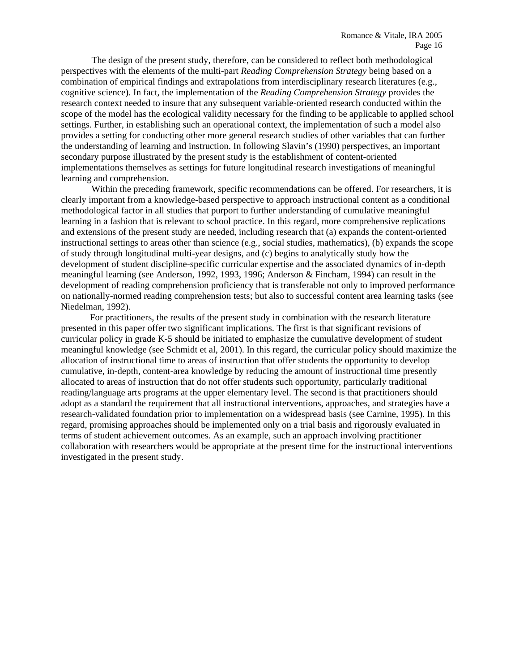The design of the present study, therefore, can be considered to reflect both methodological perspectives with the elements of the multi-part *Reading Comprehension Strategy* being based on a combination of empirical findings and extrapolations from interdisciplinary research literatures (e.g., cognitive science). In fact, the implementation of the *Reading Comprehension Strategy* provides the research context needed to insure that any subsequent variable-oriented research conducted within the scope of the model has the ecological validity necessary for the finding to be applicable to applied school settings. Further, in establishing such an operational context, the implementation of such a model also provides a setting for conducting other more general research studies of other variables that can further the understanding of learning and instruction. In following Slavin's (1990) perspectives, an important secondary purpose illustrated by the present study is the establishment of content-oriented implementations themselves as settings for future longitudinal research investigations of meaningful learning and comprehension.

Within the preceding framework, specific recommendations can be offered. For researchers, it is clearly important from a knowledge-based perspective to approach instructional content as a conditional methodological factor in all studies that purport to further understanding of cumulative meaningful learning in a fashion that is relevant to school practice. In this regard, more comprehensive replications and extensions of the present study are needed, including research that (a) expands the content-oriented instructional settings to areas other than science (e.g., social studies, mathematics), (b) expands the scope of study through longitudinal multi-year designs, and (c) begins to analytically study how the development of student discipline-specific curricular expertise and the associated dynamics of in-depth meaningful learning (see Anderson, 1992, 1993, 1996; Anderson & Fincham, 1994) can result in the development of reading comprehension proficiency that is transferable not only to improved performance on nationally-normed reading comprehension tests; but also to successful content area learning tasks (see Niedelman, 1992).

For practitioners, the results of the present study in combination with the research literature presented in this paper offer two significant implications. The first is that significant revisions of curricular policy in grade K-5 should be initiated to emphasize the cumulative development of student meaningful knowledge (see Schmidt et al, 2001). In this regard, the curricular policy should maximize the allocation of instructional time to areas of instruction that offer students the opportunity to develop cumulative, in-depth, content-area knowledge by reducing the amount of instructional time presently allocated to areas of instruction that do not offer students such opportunity, particularly traditional reading/language arts programs at the upper elementary level. The second is that practitioners should adopt as a standard the requirement that all instructional interventions, approaches, and strategies have a research-validated foundation prior to implementation on a widespread basis (see Carnine, 1995). In this regard, promising approaches should be implemented only on a trial basis and rigorously evaluated in terms of student achievement outcomes. As an example, such an approach involving practitioner collaboration with researchers would be appropriate at the present time for the instructional interventions investigated in the present study.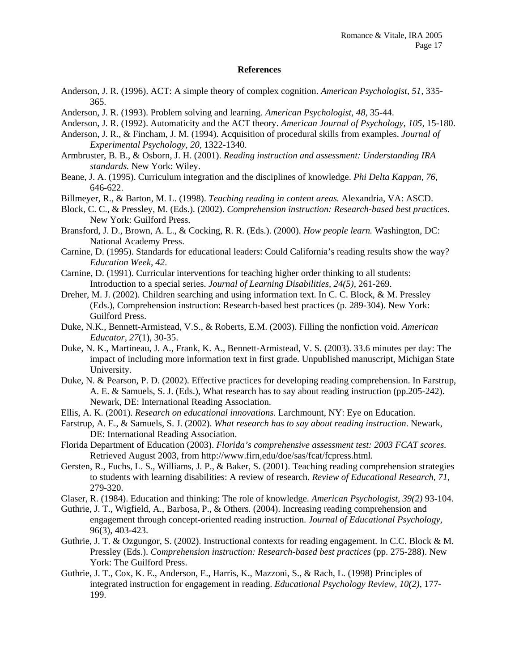### **References**

- Anderson, J. R. (1996). ACT: A simple theory of complex cognition. *American Psychologist*, *51,* 335- 365.
- Anderson, J. R. (1993). Problem solving and learning. *American Psychologist*, *48,* 35-44.
- Anderson, J. R. (1992). Automaticity and the ACT theory. *American Journal of Psychology, 105,* 15-180.
- Anderson, J. R., & Fincham, J. M. (1994). Acquisition of procedural skills from examples. *Journal of Experimental Psychology, 20,* 1322-1340.
- Armbruster, B. B., & Osborn, J. H. (2001). *Reading instruction and assessment: Understanding IRA standards.* New York: Wiley.
- Beane, J. A. (1995). Curriculum integration and the disciplines of knowledge. *Phi Delta Kappan, 76,* 646-622.
- Billmeyer, R., & Barton, M. L. (1998). *Teaching reading in content areas.* Alexandria, VA: ASCD.
- Block, C. C., & Pressley, M. (Eds.). (2002). *Comprehension instruction: Research-based best practices.* New York: Guilford Press.
- Bransford, J. D., Brown, A. L., & Cocking, R. R. (Eds.). (2000). *How people learn.* Washington, DC: National Academy Press.
- Carnine, D. (1995). Standards for educational leaders: Could California's reading results show the way? *Education Week, 42*.
- Carnine, D. (1991). Curricular interventions for teaching higher order thinking to all students: Introduction to a special series. *Journal of Learning Disabilities, 24(5),* 261-269.
- Dreher, M. J. (2002). Children searching and using information text. In C. C. Block, & M. Pressley (Eds.), Comprehension instruction: Research-based best practices (p. 289-304). New York: Guilford Press.
- Duke, N.K., Bennett-Armistead, V.S., & Roberts, E.M. (2003). Filling the nonfiction void. *American Educator, 27*(1), 30-35.
- Duke, N. K., Martineau, J. A., Frank, K. A., Bennett-Armistead, V. S. (2003). 33.6 minutes per day: The impact of including more information text in first grade. Unpublished manuscript, Michigan State University.
- Duke, N. & Pearson, P. D. (2002). Effective practices for developing reading comprehension. In Farstrup, A. E. & Samuels, S. J. (Eds.), What research has to say about reading instruction (pp.205-242). Newark, DE: International Reading Association.
- Ellis, A. K. (2001). *Research on educational innovations.* Larchmount, NY: Eye on Education.
- Farstrup, A. E., & Samuels, S. J. (2002). *What research has to say about reading instruction*. Newark, DE: International Reading Association.
- Florida Department of Education (2003). *Florida's comprehensive assessment test: 2003 FCAT scores.*  Retrieved August 2003, from http://www.firn,edu/doe/sas/fcat/fcpress.html.
- Gersten, R., Fuchs, L. S., Williams, J. P., & Baker, S. (2001). Teaching reading comprehension strategies to students with learning disabilities: A review of research. *Review of Educational Research, 71,*  279-320.
- Glaser, R. (1984). Education and thinking: The role of knowledge. *American Psychologist, 39(2)* 93-104.
- Guthrie, J. T., Wigfield, A., Barbosa, P., & Others. (2004). Increasing reading comprehension and engagement through concept-oriented reading instruction. *Journal of Educational Psychology,*  96(3), 403-423.
- Guthrie, J. T. & Ozgungor, S. (2002). Instructional contexts for reading engagement. In C.C. Block & M. Pressley (Eds.). *Comprehension instruction: Research-based best practices* (pp. 275-288). New York: The Guilford Press.
- Guthrie, J. T., Cox, K. E., Anderson, E., Harris, K., Mazzoni, S., & Rach, L. (1998) Principles of integrated instruction for engagement in reading. *Educational Psychology Review, 10(2)*, 177- 199.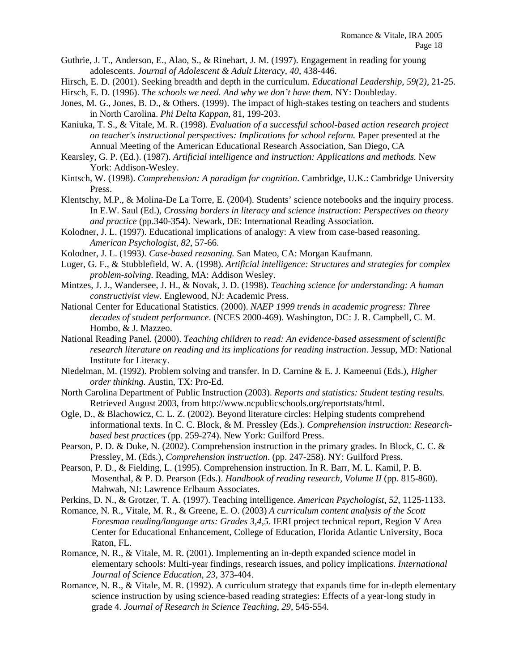Guthrie, J. T., Anderson, E., Alao, S., & Rinehart, J. M. (1997). Engagement in reading for young adolescents. *Journal of Adolescent & Adult Literacy, 40*, 438-446.

Hirsch, E. D. (2001). Seeking breadth and depth in the curriculum. *Educational Leadership, 59(2),* 21-25.

Hirsch, E. D. (1996). *The schools we need. And why we don't have them.* NY: Doubleday.

- Jones, M. G., Jones, B. D., & Others. (1999). The impact of high-stakes testing on teachers and students in North Carolina. *Phi Delta Kappan*, 81, 199-203.
- Kaniuka, T. S., & Vitale, M. R. (1998). *Evaluation of a successful school-based action research project on teacher's instructional perspectives: Implications for school reform.* Paper presented at the Annual Meeting of the American Educational Research Association, San Diego, CA
- Kearsley, G. P. (Ed.). (1987). *Artificial intelligence and instruction: Applications and methods.* New York: Addison-Wesley.
- Kintsch, W. (1998). *Comprehension: A paradigm for cognition*. Cambridge, U.K.: Cambridge University Press.
- Klentschy, M.P., & Molina-De La Torre, E. (2004). Students' science notebooks and the inquiry process. In E.W. Saul (Ed.), *Crossing borders in literacy and science instruction: Perspectives on theory and practice* (pp.340-354). Newark, DE: International Reading Association.
- Kolodner, J. L. (1997). Educational implications of analogy: A view from case-based reasoning. *American Psychologist, 82*, 57-66.
- Kolodner, J. L. (1993*). Case-based reasoning.* San Mateo, CA: Morgan Kaufmann.
- Luger, G. F., & Stubblefield, W. A. (1998). *Artificial intelligence: Structures and strategies for complex problem-solving.* Reading, MA: Addison Wesley.
- Mintzes, J. J., Wandersee, J. H., & Novak, J. D. (1998). *Teaching science for understanding: A human constructivist view*. Englewood, NJ: Academic Press.
- National Center for Educational Statistics. (2000). *NAEP 1999 trends in academic progress: Three decades of student performance*. (NCES 2000-469). Washington, DC: J. R. Campbell, C. M. Hombo, & J. Mazzeo.
- National Reading Panel. (2000). *Teaching children to read: An evidence-based assessment of scientific research literature on reading and its implications for reading instruction*. Jessup, MD: National Institute for Literacy.
- Niedelman, M. (1992). Problem solving and transfer. In D. Carnine & E. J. Kameenui (Eds.), *Higher order thinking.* Austin, TX: Pro-Ed.
- North Carolina Department of Public Instruction (2003). *Reports and statistics: Student testing results.*  Retrieved August 2003, from http://www.ncpublicschools.org/reportstats/html.
- Ogle, D., & Blachowicz, C. L. Z. (2002). Beyond literature circles: Helping students comprehend informational texts. In C. C. Block, & M. Pressley (Eds.). *Comprehension instruction: Researchbased best practices* (pp. 259-274). New York: Guilford Press.
- Pearson, P. D. & Duke, N. (2002). Comprehension instruction in the primary grades. In Block, C. C. & Pressley, M. (Eds.), *Comprehension instruction*. (pp. 247-258). NY: Guilford Press.
- Pearson, P. D., & Fielding, L. (1995). Comprehension instruction. In R. Barr, M. L. Kamil, P. B. Mosenthal, & P. D. Pearson (Eds.). *Handbook of reading research, Volume II* (pp. 815-860). Mahwah, NJ: Lawrence Erlbaum Associates.
- Perkins, D. N., & Grotzer, T. A. (1997). Teaching intelligence. *American Psychologist, 52*, 1125-1133.
- Romance, N. R., Vitale, M. R., & Greene, E. O. (2003) *A curriculum content analysis of the Scott Foresman reading/language arts: Grades 3,4,5*. IERI project technical report, Region V Area Center for Educational Enhancement, College of Education, Florida Atlantic University, Boca Raton, FL.
- Romance, N. R., & Vitale, M. R. (2001). Implementing an in-depth expanded science model in elementary schools: Multi-year findings, research issues, and policy implications. *International Journal of Science Education, 23,* 373-404.
- Romance, N. R., & Vitale, M. R. (1992). A curriculum strategy that expands time for in-depth elementary science instruction by using science-based reading strategies: Effects of a year-long study in grade 4. *Journal of Research in Science Teaching*, *29,* 545-554.